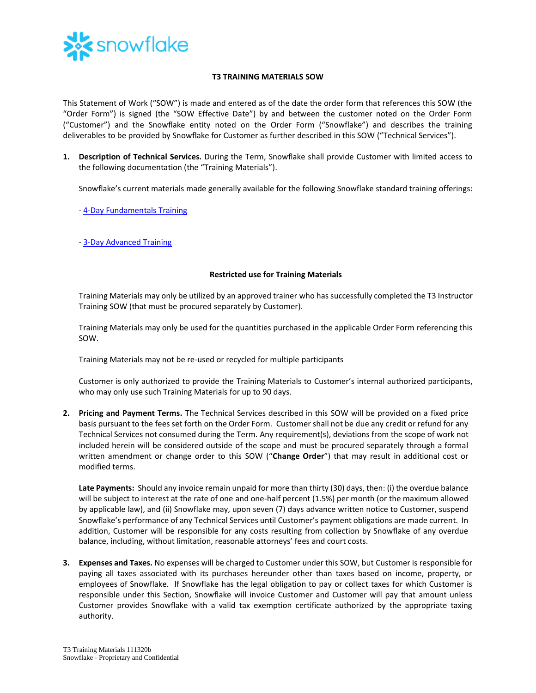

## **T3 TRAINING MATERIALS SOW**

This Statement of Work ("SOW") is made and entered as of the date the order form that references this SOW (the "Order Form") is signed (the "SOW Effective Date") by and between the customer noted on the Order Form ("Customer") and the Snowflake entity noted on the Order Form ("Snowflake") and describes the training deliverables to be provided by Snowflake for Customer as further described in this SOW ("Technical Services").

**1. Description of Technical Services.** During the Term, Snowflake shall provide Customer with limited access to the following documentation (the "Training Materials").

Snowflake's current materials made generally available for the following Snowflake standard training offerings:

- [4-Day Fundamentals Training](https://bit.ly/4DayFund-datasheet)
- [3-Day Advanced Training](https://bit.ly/Adv3Day-datasheet)

## **Restricted use for Training Materials**

Training Materials may only be utilized by an approved trainer who has successfully completed the T3 Instructor Training SOW (that must be procured separately by Customer).

Training Materials may only be used for the quantities purchased in the applicable Order Form referencing this SOW.

Training Materials may not be re-used or recycled for multiple participants

Customer is only authorized to provide the Training Materials to Customer's internal authorized participants, who may only use such Training Materials for up to 90 days.

**2. Pricing and Payment Terms.** The Technical Services described in this SOW will be provided on a fixed price basis pursuant to the fees set forth on the Order Form. Customer shall not be due any credit or refund for any Technical Services not consumed during the Term. Any requirement(s), deviations from the scope of work not included herein will be considered outside of the scope and must be procured separately through a formal written amendment or change order to this SOW ("**Change Order**") that may result in additional cost or modified terms.

**Late Payments:** Should any invoice remain unpaid for more than thirty (30) days, then: (i) the overdue balance will be subject to interest at the rate of one and one-half percent (1.5%) per month (or the maximum allowed by applicable law), and (ii) Snowflake may, upon seven (7) days advance written notice to Customer, suspend Snowflake's performance of any Technical Services until Customer's payment obligations are made current. In addition, Customer will be responsible for any costs resulting from collection by Snowflake of any overdue balance, including, without limitation, reasonable attorneys' fees and court costs.

**3. Expenses and Taxes.** No expenses will be charged to Customer under this SOW, but Customer is responsible for paying all taxes associated with its purchases hereunder other than taxes based on income, property, or employees of Snowflake. If Snowflake has the legal obligation to pay or collect taxes for which Customer is responsible under this Section, Snowflake will invoice Customer and Customer will pay that amount unless Customer provides Snowflake with a valid tax exemption certificate authorized by the appropriate taxing authority.